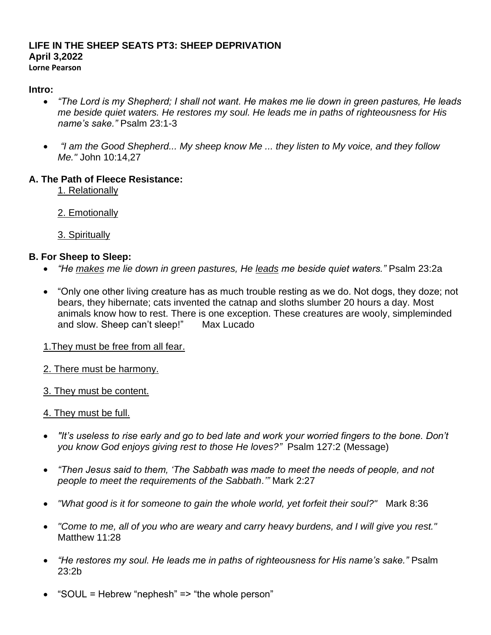#### **LIFE IN THE SHEEP SEATS PT3: SHEEP DEPRIVATION April 3,2022 Lorne Pearson**

#### **Intro:**

- *"The Lord is my Shepherd; I shall not want. He makes me lie down in green pastures, He leads me beside quiet waters. He restores my soul. He leads me in paths of righteousness for His name's sake."* Psalm 23:1-3
- *"I am the Good Shepherd... My sheep know Me ... they listen to My voice, and they follow Me."* John 10:14,27

#### **A. The Path of Fleece Resistance:**

- 1. Relationally
- 2. Emotionally
- 3. Spiritually

## **B. For Sheep to Sleep:**

- *"He makes me lie down in green pastures, He leads me beside quiet waters."* Psalm 23:2a
- "Only one other living creature has as much trouble resting as we do. Not dogs, they doze; not bears, they hibernate; cats invented the catnap and sloths slumber 20 hours a day. Most animals know how to rest. There is one exception. These creatures are wooly, simpleminded and slow. Sheep can't sleep!" Max Lucado
- 1.They must be free from all fear.
- 2. There must be harmony.
- 3. They must be content.

## 4. They must be full.

- *"It's useless to rise early and go to bed late and work your worried fingers to the bone. Don't you know God enjoys giving rest to those He loves?"* Psalm 127:2 (Message)
- *"Then Jesus said to them, 'The Sabbath was made to meet the needs of people, and not people to meet the requirements of the Sabbath.'"* Mark 2:27
- *"What good is it for someone to gain the whole world, yet forfeit their soul?"* Mark 8:36
- *"Come to me, all of you who are weary and carry heavy burdens, and I will give you rest."* Matthew 11:28
- *"He restores my soul. He leads me in paths of righteousness for His name's sake."* Psalm 23:2b
- "SOUL = Hebrew "nephesh" => "the whole person"